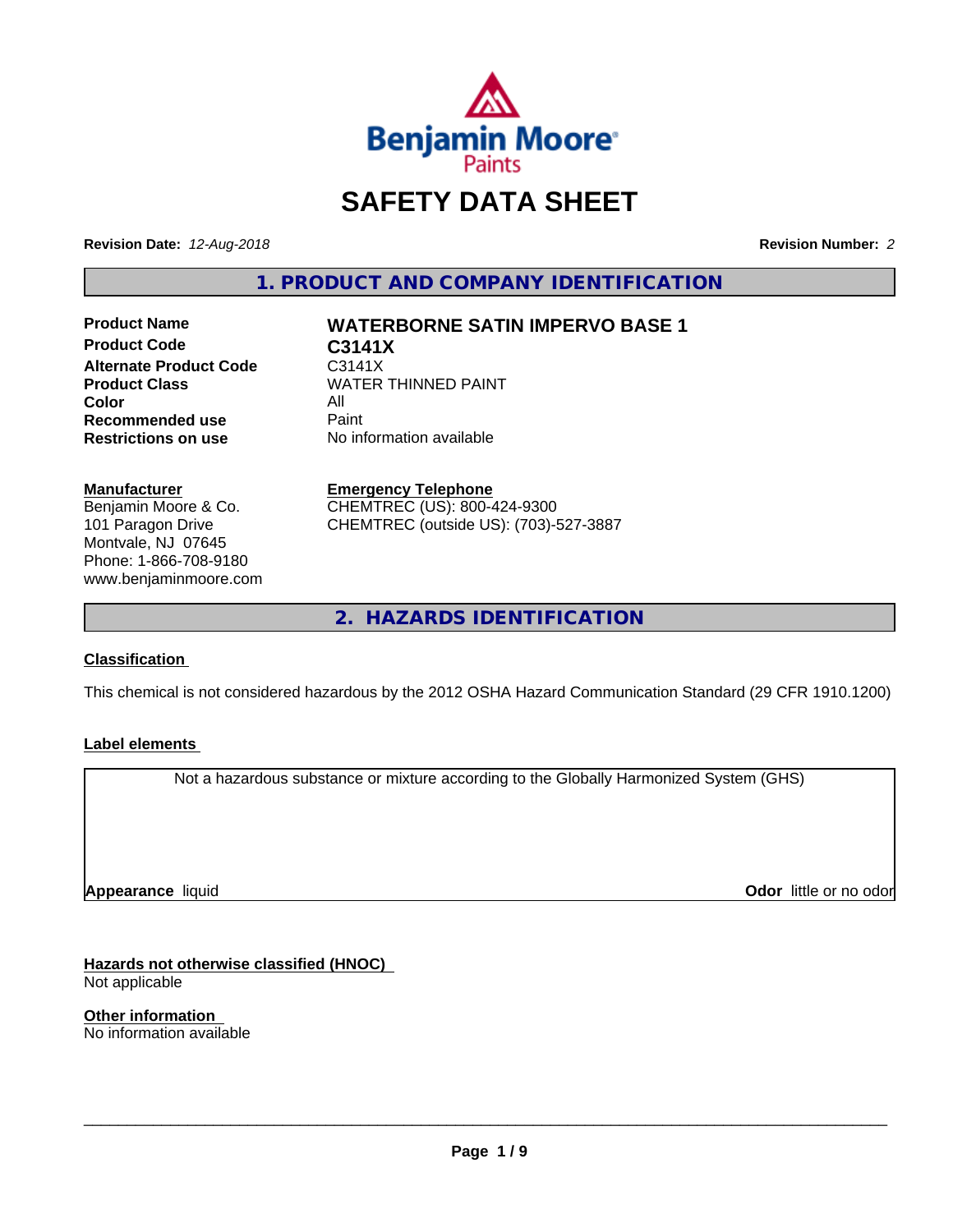

# **SAFETY DATA SHEET**

**Revision Date:** *12-Aug-2018* **Revision Number:** *2*

**1. PRODUCT AND COMPANY IDENTIFICATION**

**Product Name WATERBORNE SATIN IMPERVO BASE 1 Product Code C3141X Alternate Product Code C3141X**<br>**Product Class COV COVER Color** All<br> **Recommended use** Paint **Recommended use**<br>Restrictions on use

**WATER THINNED PAINT No information available** 

**Manufacturer** Benjamin Moore & Co. 101 Paragon Drive Montvale, NJ 07645 Phone: 1-866-708-9180

www.benjaminmoore.com

### **Emergency Telephone**

CHEMTREC (US): 800-424-9300 CHEMTREC (outside US): (703)-527-3887

**2. HAZARDS IDENTIFICATION**

### **Classification**

This chemical is not considered hazardous by the 2012 OSHA Hazard Communication Standard (29 CFR 1910.1200)

### **Label elements**

Not a hazardous substance or mixture according to the Globally Harmonized System (GHS)

**Appearance** liquid

**Odor** little or no odor

**Hazards not otherwise classified (HNOC)** Not applicable

**Other information** No information available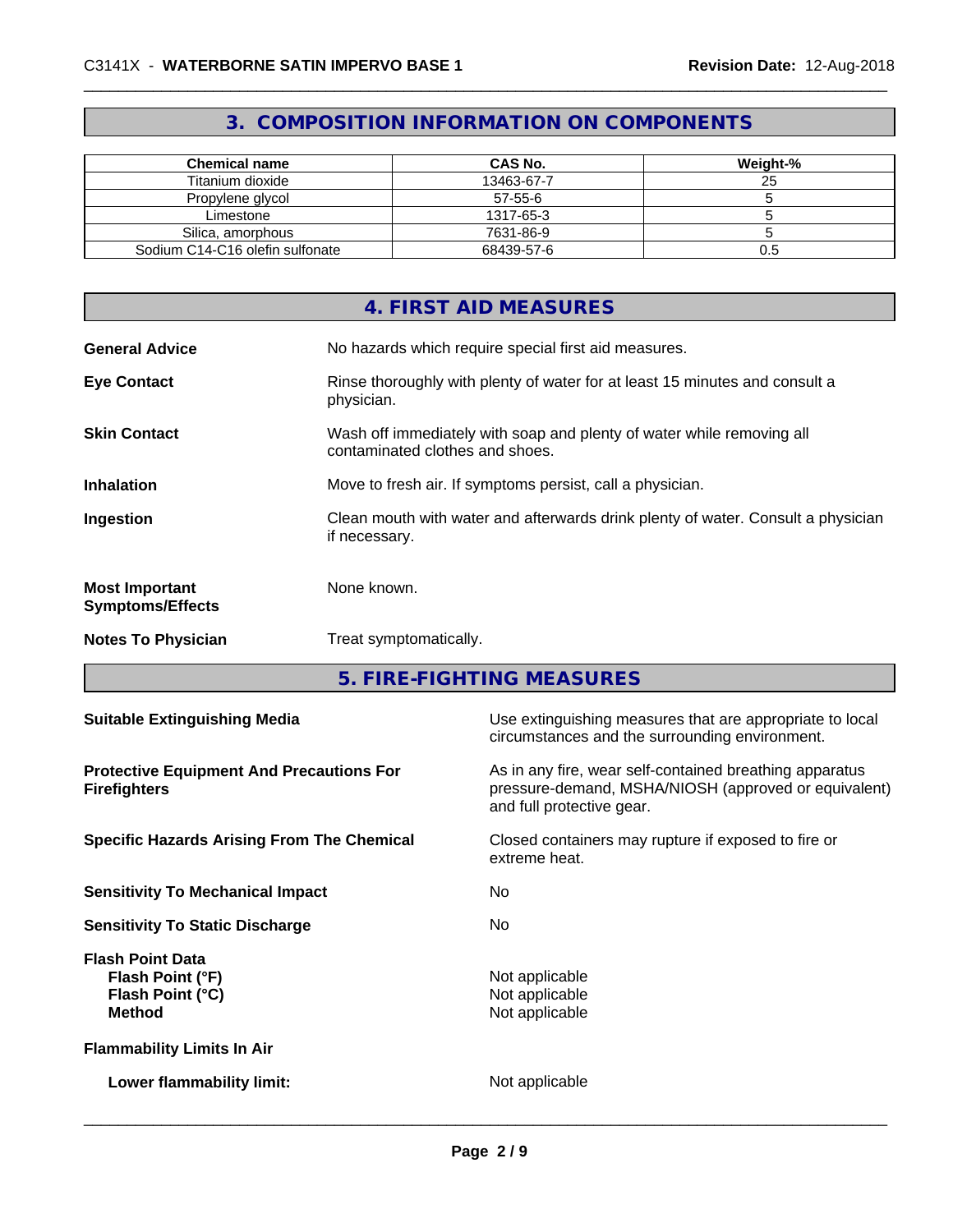# **3. COMPOSITION INFORMATION ON COMPONENTS**

| Chemical name                   | <b>CAS No.</b> | Weight-% |
|---------------------------------|----------------|----------|
| Titanium dioxide                | 13463-67-7     | 25       |
| Propylene glycol                | $57 - 55 - 6$  |          |
| Limestone                       | 1317-65-3      |          |
| Silica, amorphous               | 7631-86-9      |          |
| Sodium C14-C16 olefin sulfonate | 68439-57-6     | U.O      |

|                                                  | 4. FIRST AID MEASURES                                                                                    |
|--------------------------------------------------|----------------------------------------------------------------------------------------------------------|
| <b>General Advice</b>                            | No hazards which require special first aid measures.                                                     |
| <b>Eye Contact</b>                               | Rinse thoroughly with plenty of water for at least 15 minutes and consult a<br>physician.                |
| <b>Skin Contact</b>                              | Wash off immediately with soap and plenty of water while removing all<br>contaminated clothes and shoes. |
| <b>Inhalation</b>                                | Move to fresh air. If symptoms persist, call a physician.                                                |
| Ingestion                                        | Clean mouth with water and afterwards drink plenty of water. Consult a physician<br>if necessary.        |
| <b>Most Important</b><br><b>Symptoms/Effects</b> | None known.                                                                                              |
| <b>Notes To Physician</b>                        | Treat symptomatically.                                                                                   |

**5. FIRE-FIGHTING MEASURES**

| <b>Suitable Extinguishing Media</b>                                              | Use extinguishing measures that are appropriate to local<br>circumstances and the surrounding environment.                                   |
|----------------------------------------------------------------------------------|----------------------------------------------------------------------------------------------------------------------------------------------|
| <b>Protective Equipment And Precautions For</b><br><b>Firefighters</b>           | As in any fire, wear self-contained breathing apparatus<br>pressure-demand, MSHA/NIOSH (approved or equivalent)<br>and full protective gear. |
| <b>Specific Hazards Arising From The Chemical</b>                                | Closed containers may rupture if exposed to fire or<br>extreme heat.                                                                         |
| <b>Sensitivity To Mechanical Impact</b>                                          | No.                                                                                                                                          |
| <b>Sensitivity To Static Discharge</b>                                           | N <sub>o</sub>                                                                                                                               |
| <b>Flash Point Data</b><br>Flash Point (°F)<br>Flash Point (°C)<br><b>Method</b> | Not applicable<br>Not applicable<br>Not applicable                                                                                           |
| <b>Flammability Limits In Air</b>                                                |                                                                                                                                              |
| Lower flammability limit:                                                        | Not applicable                                                                                                                               |
|                                                                                  |                                                                                                                                              |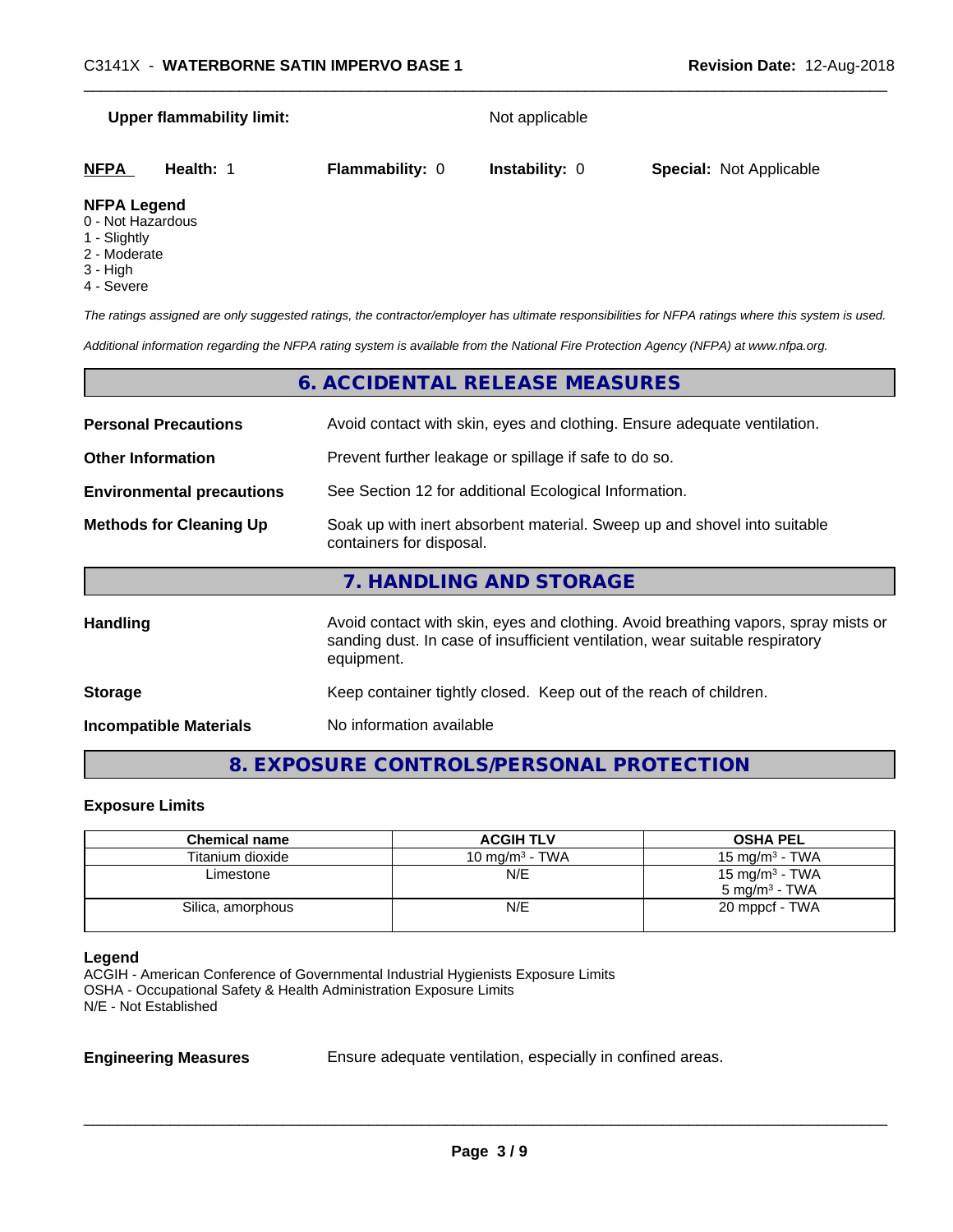|                                       | <b>Upper flammability limit:</b> |                        | Not applicable        |                                |  |
|---------------------------------------|----------------------------------|------------------------|-----------------------|--------------------------------|--|
| <b>NFPA</b>                           | Health: 1                        | <b>Flammability: 0</b> | <b>Instability: 0</b> | <b>Special: Not Applicable</b> |  |
| <b>NFPA Legend</b><br>0 Not Hozardous |                                  |                        |                       |                                |  |

- 0 Not Hazardous
- 1 Slightly
- 2 Moderate
- 3 High
- 4 Severe

*The ratings assigned are only suggested ratings, the contractor/employer has ultimate responsibilities for NFPA ratings where this system is used.*

*Additional information regarding the NFPA rating system is available from the National Fire Protection Agency (NFPA) at www.nfpa.org.*

|                                  | 6. ACCIDENTAL RELEASE MEASURES                                                                                                                                                   |
|----------------------------------|----------------------------------------------------------------------------------------------------------------------------------------------------------------------------------|
| <b>Personal Precautions</b>      | Avoid contact with skin, eyes and clothing. Ensure adequate ventilation.                                                                                                         |
| <b>Other Information</b>         | Prevent further leakage or spillage if safe to do so.                                                                                                                            |
| <b>Environmental precautions</b> | See Section 12 for additional Ecological Information.                                                                                                                            |
| <b>Methods for Cleaning Up</b>   | Soak up with inert absorbent material. Sweep up and shovel into suitable<br>containers for disposal.                                                                             |
|                                  | 7. HANDLING AND STORAGE                                                                                                                                                          |
| Handling                         | Avoid contact with skin, eyes and clothing. Avoid breathing vapors, spray mists or<br>sanding dust. In case of insufficient ventilation, wear suitable respiratory<br>equipment. |
| <b>Storage</b>                   | Keep container tightly closed. Keep out of the reach of children.                                                                                                                |
| <b>Incompatible Materials</b>    | No information available                                                                                                                                                         |

### **8. EXPOSURE CONTROLS/PERSONAL PROTECTION**

### **Exposure Limits**

| <b>Chemical name</b> | <b>ACGIH TLV</b>           | <b>OSHA PEL</b>            |
|----------------------|----------------------------|----------------------------|
| Titanium dioxide     | 10 mg/m <sup>3</sup> - TWA | 15 mg/m $3$ - TWA          |
| Limestone            | N/E                        | 15 mg/m <sup>3</sup> - TWA |
|                      |                            | $5 \text{ ma/m}^3$ - TWA   |
| Silica, amorphous    | N/E                        | 20 mppcf - TWA             |
|                      |                            |                            |

### **Legend**

ACGIH - American Conference of Governmental Industrial Hygienists Exposure Limits OSHA - Occupational Safety & Health Administration Exposure Limits N/E - Not Established

**Engineering Measures** Ensure adequate ventilation, especially in confined areas.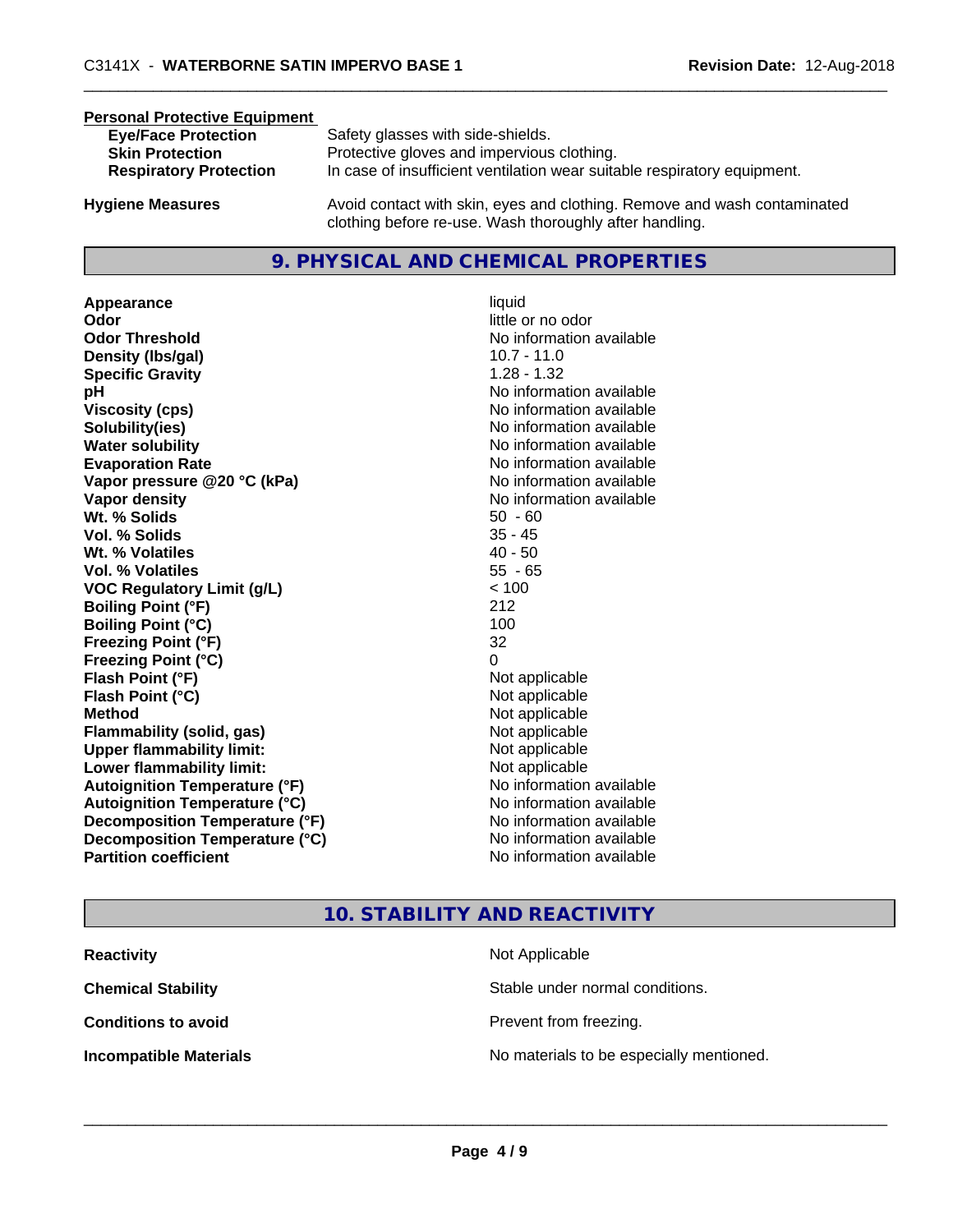### **Personal Protective Equipment**

| <b>Eye/Face Protection</b>    | Safety glasses with side-shields.                                        |
|-------------------------------|--------------------------------------------------------------------------|
| <b>Skin Protection</b>        | Protective gloves and impervious clothing.                               |
| <b>Respiratory Protection</b> | In case of insufficient ventilation wear suitable respiratory equipment. |
|                               |                                                                          |

**Hygiene Measures** Avoid contact with skin, eyes and clothing. Remove and wash contaminated clothing before re-use. Wash thoroughly after handling.

### **9. PHYSICAL AND CHEMICAL PROPERTIES**

**Appearance** liquid **Odor** little or no odor **Odor Threshold No information available No information available Density (Ibs/gal)** 10.7 - 11.0 **Specific Gravity** 1.28 - 1.32 **pH** No information available **Viscosity (cps)** No information available **Solubility(ies)** No information available **Water solubility Water solubility Water solubility Water solubility Water solubility Water solution Evaporation Rate No information available No information available Vapor pressure @20 °C (kPa)** No information available **Vapor density No information available Wt.** % Solids 50 - 60 **Vol. % Solids** 35 - 45 **Wt. % Volatiles** 40 - 50 **Vol. % Volatiles** 55 - 65 **VOC Regulatory Limit (g/L)** < 100 **Boiling Point (°F)** 212 **Boiling Point (°C)** 100 **Freezing Point (°F)** 32 **Freezing Point (°C)** 0 **Flash Point (°F)** Not applicable **Flash Point (°C)** Not applicable **Method** Not applicable **Flammability (solid, gas)** Not applicable **Upper flammability limit:** Not applicable **Lower flammability limit:** Not applicable **Autoignition Temperature (°F)** No information available **Autoignition Temperature (°C)** No information available **Decomposition Temperature (°F)** No information available **Decomposition Temperature (°C)**<br> **Partition coefficient Partition coefficient 1 Partition available No information available** 

# **No information available**

### **10. STABILITY AND REACTIVITY**

| <b>Reactivity</b>             | Not Applicable                           |
|-------------------------------|------------------------------------------|
| <b>Chemical Stability</b>     | Stable under normal conditions.          |
| <b>Conditions to avoid</b>    | Prevent from freezing.                   |
| <b>Incompatible Materials</b> | No materials to be especially mentioned. |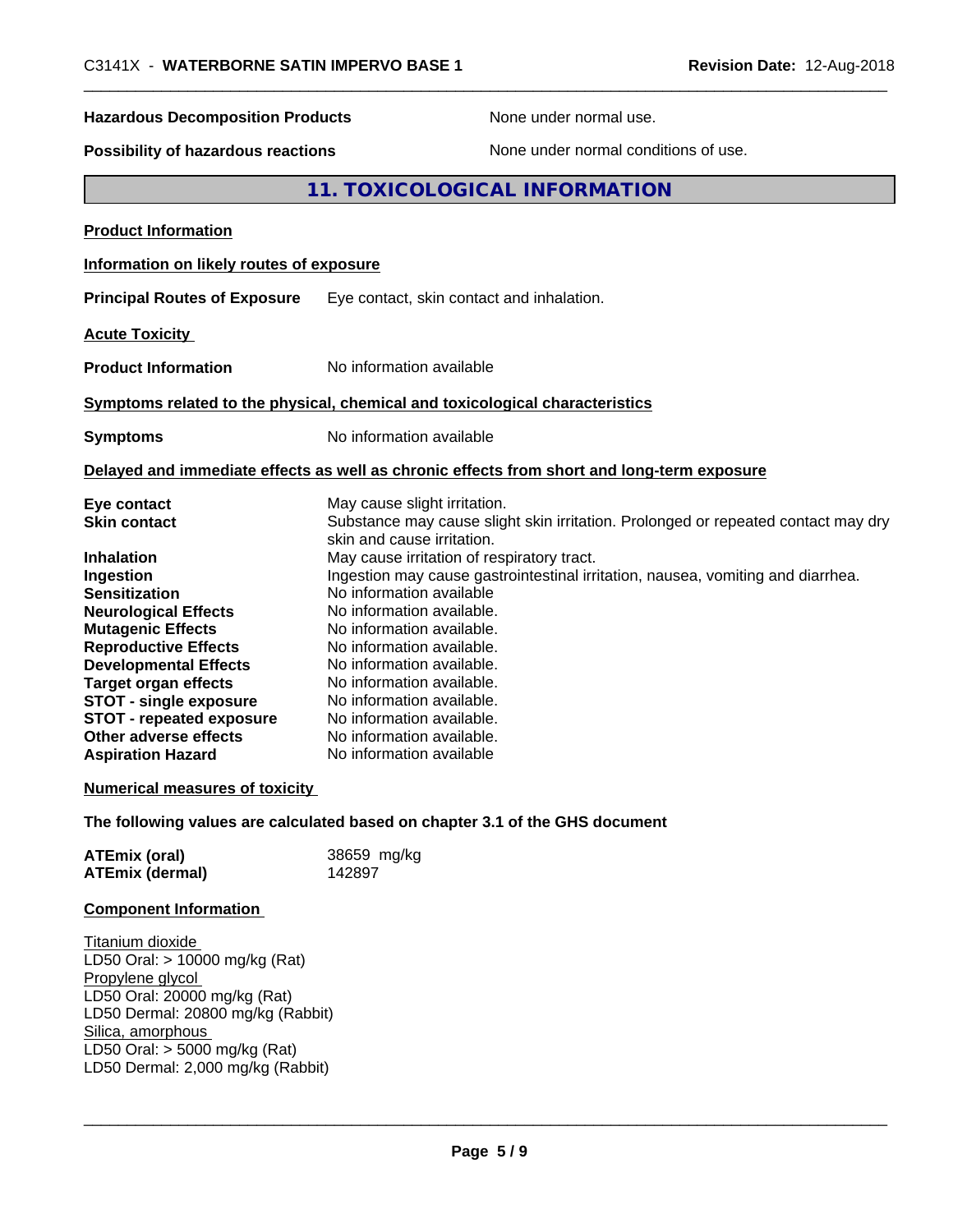# **Hazardous Decomposition Products** None under normal use.

**Possibility of hazardous reactions** None under normal conditions of use.

## **11. TOXICOLOGICAL INFORMATION**

| <b>Product Information</b>                                                                                                                                                                                                                                                                                                                                                     |                                                                                                                                                                                                                                                                                                                                                                                                                                                                                                                                                                                  |  |  |
|--------------------------------------------------------------------------------------------------------------------------------------------------------------------------------------------------------------------------------------------------------------------------------------------------------------------------------------------------------------------------------|----------------------------------------------------------------------------------------------------------------------------------------------------------------------------------------------------------------------------------------------------------------------------------------------------------------------------------------------------------------------------------------------------------------------------------------------------------------------------------------------------------------------------------------------------------------------------------|--|--|
| Information on likely routes of exposure                                                                                                                                                                                                                                                                                                                                       |                                                                                                                                                                                                                                                                                                                                                                                                                                                                                                                                                                                  |  |  |
| <b>Principal Routes of Exposure</b>                                                                                                                                                                                                                                                                                                                                            | Eye contact, skin contact and inhalation.                                                                                                                                                                                                                                                                                                                                                                                                                                                                                                                                        |  |  |
| <b>Acute Toxicity</b>                                                                                                                                                                                                                                                                                                                                                          |                                                                                                                                                                                                                                                                                                                                                                                                                                                                                                                                                                                  |  |  |
| <b>Product Information</b>                                                                                                                                                                                                                                                                                                                                                     | No information available                                                                                                                                                                                                                                                                                                                                                                                                                                                                                                                                                         |  |  |
|                                                                                                                                                                                                                                                                                                                                                                                | Symptoms related to the physical, chemical and toxicological characteristics                                                                                                                                                                                                                                                                                                                                                                                                                                                                                                     |  |  |
| <b>Symptoms</b>                                                                                                                                                                                                                                                                                                                                                                | No information available                                                                                                                                                                                                                                                                                                                                                                                                                                                                                                                                                         |  |  |
|                                                                                                                                                                                                                                                                                                                                                                                | Delayed and immediate effects as well as chronic effects from short and long-term exposure                                                                                                                                                                                                                                                                                                                                                                                                                                                                                       |  |  |
| Eye contact<br><b>Skin contact</b><br><b>Inhalation</b><br>Ingestion<br><b>Sensitization</b><br><b>Neurological Effects</b><br><b>Mutagenic Effects</b><br><b>Reproductive Effects</b><br><b>Developmental Effects</b><br><b>Target organ effects</b><br><b>STOT - single exposure</b><br><b>STOT - repeated exposure</b><br>Other adverse effects<br><b>Aspiration Hazard</b> | May cause slight irritation.<br>Substance may cause slight skin irritation. Prolonged or repeated contact may dry<br>skin and cause irritation.<br>May cause irritation of respiratory tract.<br>Ingestion may cause gastrointestinal irritation, nausea, vomiting and diarrhea.<br>No information available<br>No information available.<br>No information available.<br>No information available.<br>No information available.<br>No information available.<br>No information available.<br>No information available.<br>No information available.<br>No information available |  |  |
| <b>Numerical measures of toxicity</b>                                                                                                                                                                                                                                                                                                                                          |                                                                                                                                                                                                                                                                                                                                                                                                                                                                                                                                                                                  |  |  |
| <b>ATEmix (oral)</b><br><b>ATEmix (dermal)</b>                                                                                                                                                                                                                                                                                                                                 | The following values are calculated based on chapter 3.1 of the GHS document<br>38659 mg/kg<br>142897                                                                                                                                                                                                                                                                                                                                                                                                                                                                            |  |  |
| <b>Component Information</b>                                                                                                                                                                                                                                                                                                                                                   |                                                                                                                                                                                                                                                                                                                                                                                                                                                                                                                                                                                  |  |  |
| Titanium dioxide<br>LD50 Oral: > 10000 mg/kg (Rat)<br>Propylene glycol<br>LD50 Oral: 20000 mg/kg (Rat)<br>LD50 Dermal: 20800 mg/kg (Rabbit)<br>Silica, amorphous<br>LD50 Oral: $>$ 5000 mg/kg (Rat)<br>LD50 Dermal: 2,000 mg/kg (Rabbit)                                                                                                                                       |                                                                                                                                                                                                                                                                                                                                                                                                                                                                                                                                                                                  |  |  |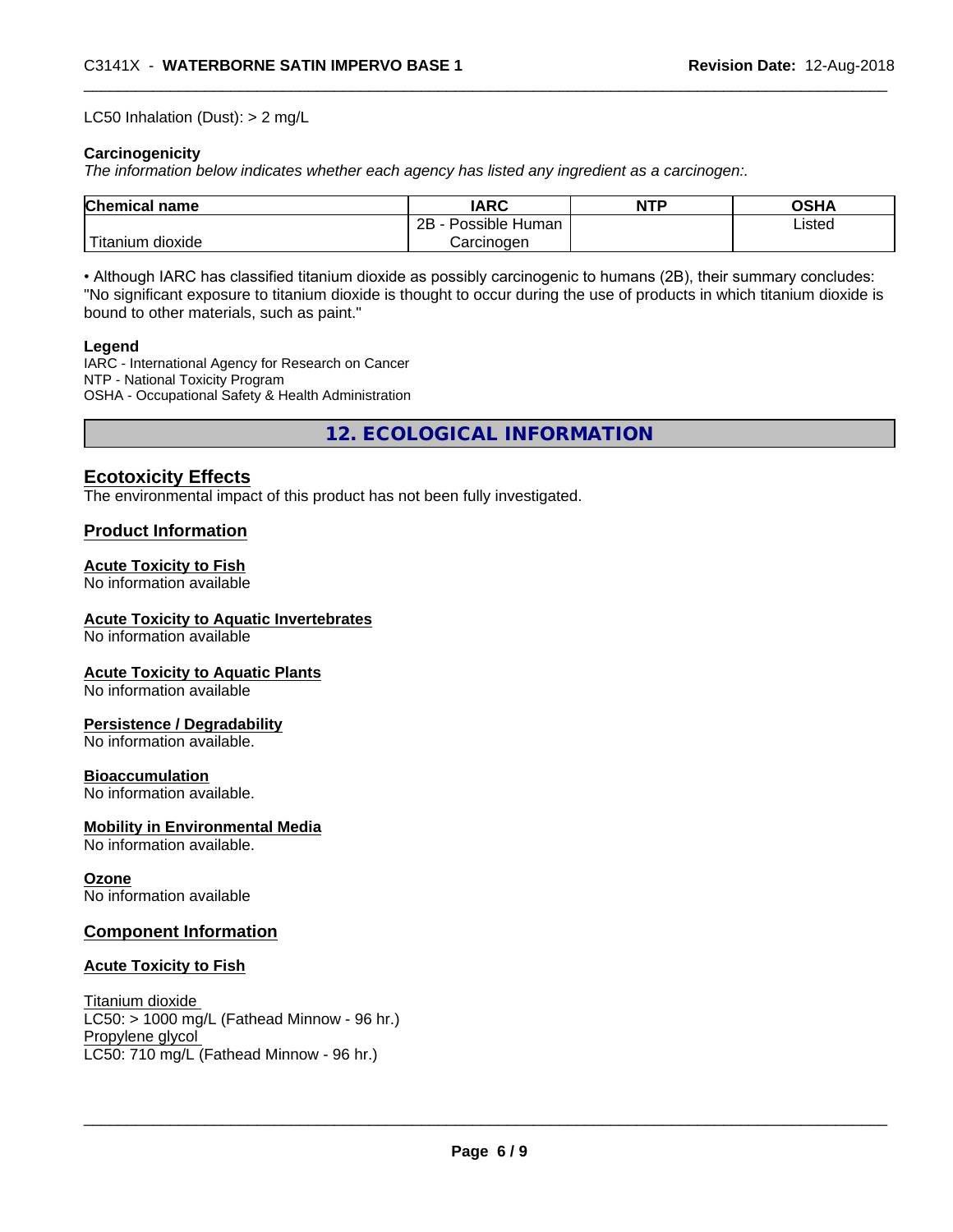### LC50 Inhalation (Dust): > 2 mg/L

### **Carcinogenicity**

*The information below indicateswhether each agency has listed any ingredient as a carcinogen:.*

| <b>Chemical</b><br>name          | <b>IARC</b>                    | <b>NTP</b> | <b>OCUM</b><br>∪וכ |
|----------------------------------|--------------------------------|------------|--------------------|
|                                  | .<br>2B<br>: Human<br>Possible |            | Listed             |
| .<br>, dioxide<br><b>itanium</b> | Carcinoɑen                     |            |                    |

• Although IARC has classified titanium dioxide as possibly carcinogenic to humans (2B), their summary concludes: "No significant exposure to titanium dioxide is thought to occur during the use of products in which titanium dioxide is bound to other materials, such as paint."

### **Legend**

IARC - International Agency for Research on Cancer NTP - National Toxicity Program OSHA - Occupational Safety & Health Administration

**12. ECOLOGICAL INFORMATION**

### **Ecotoxicity Effects**

The environmental impact of this product has not been fully investigated.

### **Product Information**

### **Acute Toxicity to Fish**

No information available

### **Acute Toxicity to Aquatic Invertebrates**

No information available

### **Acute Toxicity to Aquatic Plants**

No information available

### **Persistence / Degradability**

No information available.

### **Bioaccumulation**

No information available.

### **Mobility in Environmental Media**

No information available.

### **Ozone**

No information available

### **Component Information**

### **Acute Toxicity to Fish**

Titanium dioxide  $LC50:$  > 1000 mg/L (Fathead Minnow - 96 hr.) Propylene glycol LC50: 710 mg/L (Fathead Minnow - 96 hr.)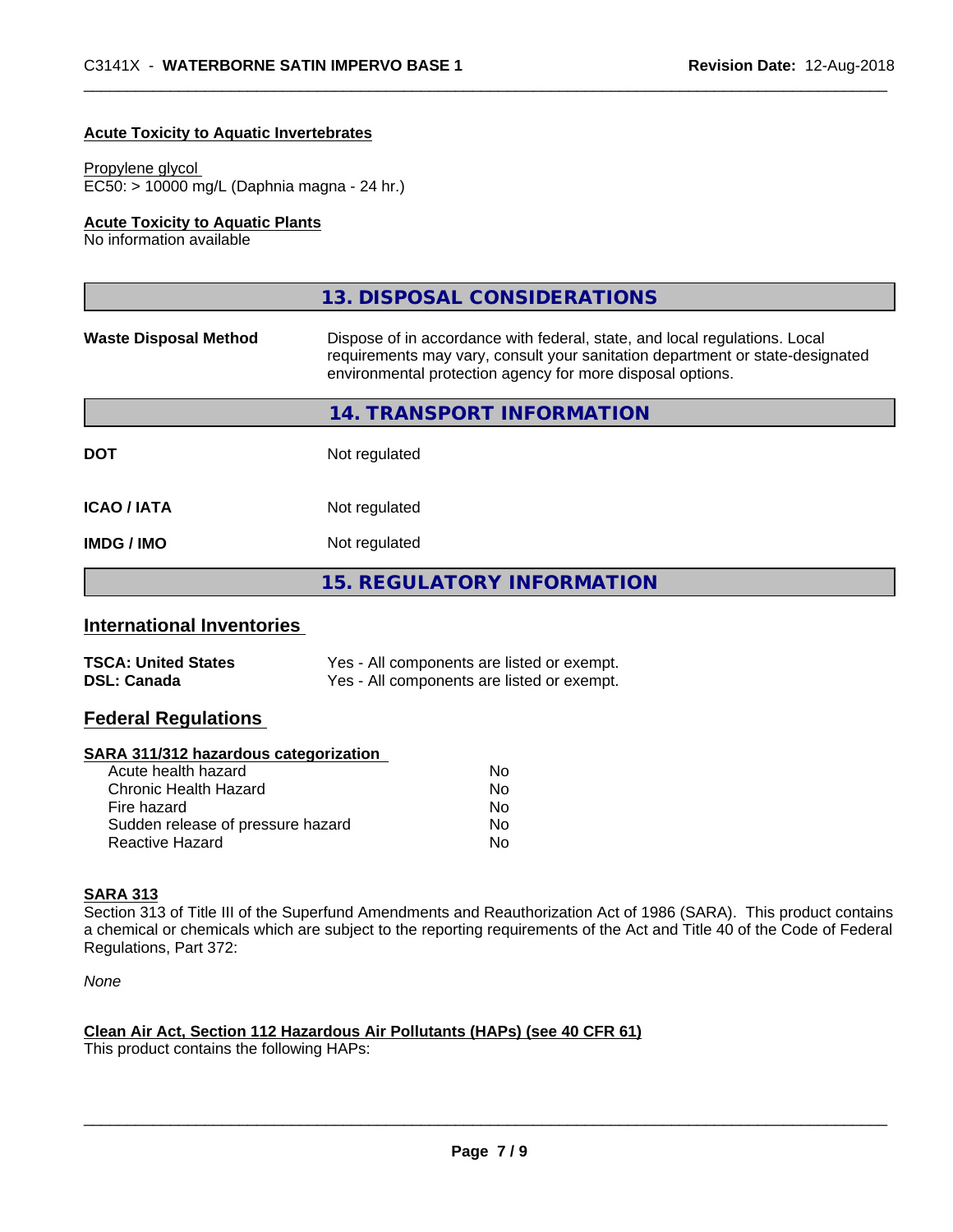### **Acute Toxicity to Aquatic Invertebrates**

### Propylene glycol

EC50: > 10000 mg/L (Daphnia magna - 24 hr.)

### **Acute Toxicity to Aquatic Plants**

No information available

|                              | 13. DISPOSAL CONSIDERATIONS                                                                                                                                                                                               |
|------------------------------|---------------------------------------------------------------------------------------------------------------------------------------------------------------------------------------------------------------------------|
| <b>Waste Disposal Method</b> | Dispose of in accordance with federal, state, and local regulations. Local<br>requirements may vary, consult your sanitation department or state-designated<br>environmental protection agency for more disposal options. |
|                              | 14. TRANSPORT INFORMATION                                                                                                                                                                                                 |
| <b>DOT</b>                   | Not regulated                                                                                                                                                                                                             |
| <b>ICAO/IATA</b>             | Not regulated                                                                                                                                                                                                             |
| <b>IMDG/IMO</b>              | Not regulated                                                                                                                                                                                                             |
|                              | <b>15. REGULATORY INFORMATION</b>                                                                                                                                                                                         |

### **International Inventories**

| <b>TSCA: United States</b> | Yes - All components are listed or exempt. |
|----------------------------|--------------------------------------------|
| <b>DSL: Canada</b>         | Yes - All components are listed or exempt. |

### **Federal Regulations**

### **SARA 311/312 hazardous categorization**

| No |
|----|
| Nο |
| N٥ |
| Nο |
| N٥ |
|    |

### **SARA 313**

Section 313 of Title III of the Superfund Amendments and Reauthorization Act of 1986 (SARA). This product contains a chemical or chemicals which are subject to the reporting requirements of the Act and Title 40 of the Code of Federal Regulations, Part 372:

*None*

### **Clean Air Act,Section 112 Hazardous Air Pollutants (HAPs) (see 40 CFR 61)**

This product contains the following HAPs: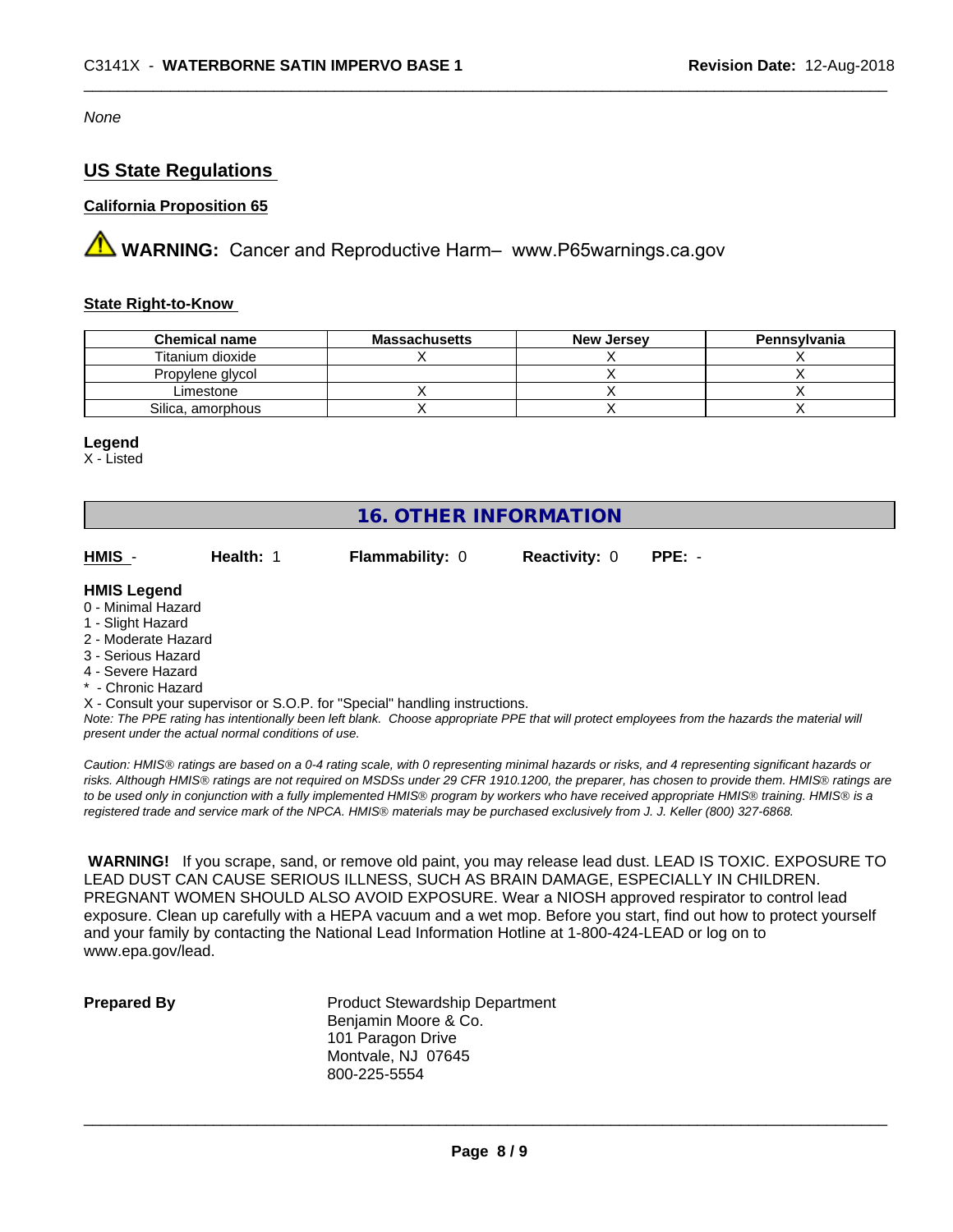*None*

### **US State Regulations**

### **California Proposition 65**

**AVIMARNING:** Cancer and Reproductive Harm– www.P65warnings.ca.gov

### **State Right-to-Know**

| <b>Chemical name</b> | <b>Massachusetts</b> | <b>New Jersey</b> | Pennsylvania |
|----------------------|----------------------|-------------------|--------------|
| Titanium dioxide     |                      |                   |              |
| Propylene glycol     |                      |                   |              |
| Limestone            |                      |                   |              |
| Silica, amorphous    |                      |                   |              |

### **Legend**

X - Listed

### **16. OTHER INFORMATION**

| HMIS         | Health: | <b>Flammability: 0</b> | <b>Reactivity: 0</b> | $PPE: -$ |
|--------------|---------|------------------------|----------------------|----------|
| hanan I 21MH |         |                        |                      |          |

### **HMIS Legend**

- 0 Minimal Hazard
- 1 Slight Hazard
- 2 Moderate Hazard
- 3 Serious Hazard
- 4 Severe Hazard
- **Chronic Hazard**
- X Consult your supervisor or S.O.P. for "Special" handling instructions.

*Note: The PPE rating has intentionally been left blank. Choose appropriate PPE that will protect employees from the hazards the material will present under the actual normal conditions of use.*

*Caution: HMISÒ ratings are based on a 0-4 rating scale, with 0 representing minimal hazards or risks, and 4 representing significant hazards or risks. Although HMISÒ ratings are not required on MSDSs under 29 CFR 1910.1200, the preparer, has chosen to provide them. HMISÒ ratings are to be used only in conjunction with a fully implemented HMISÒ program by workers who have received appropriate HMISÒ training. HMISÒ is a registered trade and service mark of the NPCA. HMISÒ materials may be purchased exclusively from J. J. Keller (800) 327-6868.*

 **WARNING!** If you scrape, sand, or remove old paint, you may release lead dust. LEAD IS TOXIC. EXPOSURE TO LEAD DUST CAN CAUSE SERIOUS ILLNESS, SUCH AS BRAIN DAMAGE, ESPECIALLY IN CHILDREN. PREGNANT WOMEN SHOULD ALSO AVOID EXPOSURE. Wear a NIOSH approved respirator to control lead exposure. Clean up carefully with a HEPA vacuum and a wet mop. Before you start, find out how to protect yourself and your family by contacting the National Lead Information Hotline at 1-800-424-LEAD or log on to www.epa.gov/lead.

**Prepared By** Product Stewardship Department Benjamin Moore & Co. 101 Paragon Drive Montvale, NJ 07645 800-225-5554